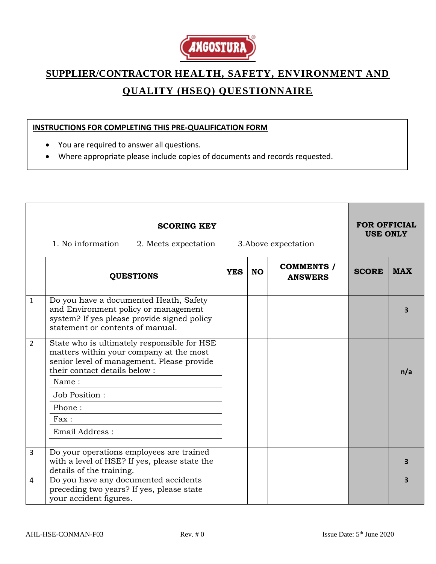

## **SUPPLIER/CONTRACTOR HEALTH, SAFETY, ENVIRONMENT AND QUALITY (HSEQ) QUESTIONNAIRE**

## **INSTRUCTIONS FOR COMPLETING THIS PRE-QUALIFICATION FORM**

- You are required to answer all questions.
- Where appropriate please include copies of documents and records requested.

|                | <b>SCORING KEY</b><br>1. No information<br>3. Above expectation<br>2. Meets expectation                                                                              |            |           |                                     |              | <b>FOR OFFICIAL</b><br><b>USE ONLY</b> |  |
|----------------|----------------------------------------------------------------------------------------------------------------------------------------------------------------------|------------|-----------|-------------------------------------|--------------|----------------------------------------|--|
|                | <b>QUESTIONS</b>                                                                                                                                                     | <b>YES</b> | <b>NO</b> | <b>COMMENTS</b> /<br><b>ANSWERS</b> | <b>SCORE</b> | <b>MAX</b>                             |  |
| $\mathbf{1}$   | Do you have a documented Heath, Safety<br>and Environment policy or management<br>system? If yes please provide signed policy<br>statement or contents of manual.    |            |           |                                     |              | 3                                      |  |
| $\overline{2}$ | State who is ultimately responsible for HSE<br>matters within your company at the most<br>senior level of management. Please provide<br>their contact details below: |            |           |                                     |              | n/a                                    |  |
|                | Name:<br>Job Position:                                                                                                                                               |            |           |                                     |              |                                        |  |
|                | Phone:                                                                                                                                                               |            |           |                                     |              |                                        |  |
|                | Fax:                                                                                                                                                                 |            |           |                                     |              |                                        |  |
|                | Email Address:                                                                                                                                                       |            |           |                                     |              |                                        |  |
| 3              | Do your operations employees are trained<br>with a level of HSE? If yes, please state the<br>details of the training.                                                |            |           |                                     |              | 3                                      |  |
| 4              | Do you have any documented accidents<br>preceding two years? If yes, please state<br>your accident figures.                                                          |            |           |                                     |              | $\overline{\mathbf{3}}$                |  |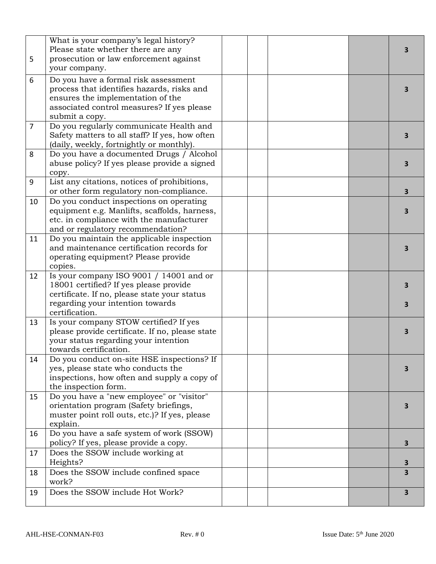| 5              | What is your company's legal history?<br>Please state whether there are any<br>prosecution or law enforcement against<br>your company.                                                  |  |  | 3      |
|----------------|-----------------------------------------------------------------------------------------------------------------------------------------------------------------------------------------|--|--|--------|
| 6              | Do you have a formal risk assessment<br>process that identifies hazards, risks and<br>ensures the implementation of the<br>associated control measures? If yes please<br>submit a copy. |  |  | 3      |
| $\overline{7}$ | Do you regularly communicate Health and<br>Safety matters to all staff? If yes, how often<br>(daily, weekly, fortnightly or monthly).                                                   |  |  | 3      |
| 8              | Do you have a documented Drugs / Alcohol<br>abuse policy? If yes please provide a signed<br>copy.                                                                                       |  |  | 3      |
| 9              | List any citations, notices of prohibitions,<br>or other form regulatory non-compliance.                                                                                                |  |  | 3      |
| 10             | Do you conduct inspections on operating<br>equipment e.g. Manlifts, scaffolds, harness,<br>etc. in compliance with the manufacturer<br>and or regulatory recommendation?                |  |  | 3      |
| 11             | Do you maintain the applicable inspection<br>and maintenance certification records for<br>operating equipment? Please provide<br>copies.                                                |  |  | 3      |
| 12             | Is your company ISO 9001 / 14001 and or<br>18001 certified? If yes please provide<br>certificate. If no, please state your status<br>regarding your intention towards<br>certification. |  |  | 3<br>3 |
| 13             | Is your company STOW certified? If yes<br>please provide certificate. If no, please state<br>your status regarding your intention<br>towards certification.                             |  |  | 3      |
| 14             | Do you conduct on-site HSE inspections? If<br>yes, please state who conducts the<br>inspections, how often and supply a copy of<br>the inspection form.                                 |  |  | 3      |
| 15             | Do you have a "new employee" or "visitor"<br>orientation program (Safety briefings,<br>muster point roll outs, etc.)? If yes, please<br>explain.                                        |  |  | з      |
| 16             | Do you have a safe system of work (SSOW)<br>policy? If yes, please provide a copy.                                                                                                      |  |  | 3.     |
| 17             | Does the SSOW include working at<br>Heights?                                                                                                                                            |  |  | З      |
| 18             | Does the SSOW include confined space<br>work?                                                                                                                                           |  |  | 3      |
| 19             | Does the SSOW include Hot Work?                                                                                                                                                         |  |  | 3      |